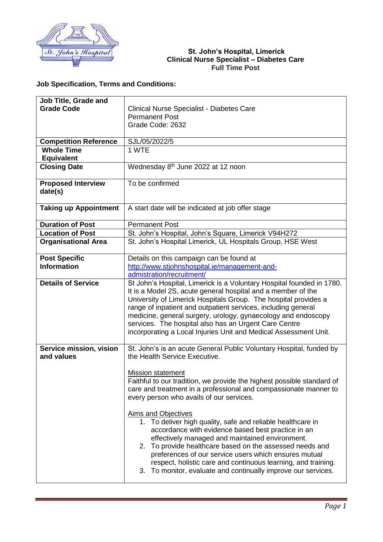

## **St. John's Hospital, Limerick Clinical Nurse Specialist – Diabetes Care Full Time Post**

## **Job Specification, Terms and Conditions:**

| <b>Job Title, Grade and</b>  |                                                                        |
|------------------------------|------------------------------------------------------------------------|
| <b>Grade Code</b>            | <b>Clinical Nurse Specialist - Diabetes Care</b>                       |
|                              | <b>Permanent Post</b>                                                  |
|                              | Grade Code: 2632                                                       |
|                              |                                                                        |
| <b>Competition Reference</b> | SJL/05/2022/5                                                          |
| <b>Whole Time</b>            | 1 WTE                                                                  |
| <b>Equivalent</b>            |                                                                        |
| <b>Closing Date</b>          | Wednesday 8 <sup>th</sup> June 2022 at 12 noon                         |
|                              |                                                                        |
| <b>Proposed Interview</b>    | To be confirmed                                                        |
| date(s)                      |                                                                        |
|                              |                                                                        |
| <b>Taking up Appointment</b> | A start date will be indicated at job offer stage                      |
|                              |                                                                        |
| <b>Duration of Post</b>      | <b>Permanent Post</b>                                                  |
| <b>Location of Post</b>      | St. John's Hospital, John's Square, Limerick V94H272                   |
| <b>Organisational Area</b>   | St. John's Hospital Limerick, UL Hospitals Group, HSE West             |
|                              |                                                                        |
| <b>Post Specific</b>         | Details on this campaign can be found at                               |
| <b>Information</b>           | http://www.stjohnshospital.ie/management-and-                          |
|                              | admistration/recruitment/                                              |
| <b>Details of Service</b>    | St John's Hospital, Limerick is a Voluntary Hospital founded in 1780.  |
|                              | It is a Model 2S, acute general hospital and a member of the           |
|                              | University of Limerick Hospitals Group. The hospital provides a        |
|                              | range of inpatient and outpatient services, including general          |
|                              | medicine, general surgery, urology, gynaecology and endoscopy          |
|                              | services. The hospital also has an Urgent Care Centre                  |
|                              | incorporating a Local Injuries Unit and Medical Assessment Unit.       |
|                              |                                                                        |
| Service mission, vision      | St. John's is an acute General Public Voluntary Hospital, funded by    |
| and values                   | the Health Service Executive.                                          |
|                              |                                                                        |
|                              | <b>Mission statement</b>                                               |
|                              | Faithful to our tradition, we provide the highest possible standard of |
|                              | care and treatment in a professional and compassionate manner to       |
|                              | every person who avails of our services.                               |
|                              | Aims and Objectives                                                    |
|                              | 1. To deliver high quality, safe and reliable healthcare in            |
|                              | accordance with evidence based best practice in an                     |
|                              | effectively managed and maintained environment.                        |
|                              | 2. To provide healthcare based on the assessed needs and               |
|                              | preferences of our service users which ensures mutual                  |
|                              | respect, holistic care and continuous learning, and training.          |
|                              | 3. To monitor, evaluate and continually improve our services.          |
|                              |                                                                        |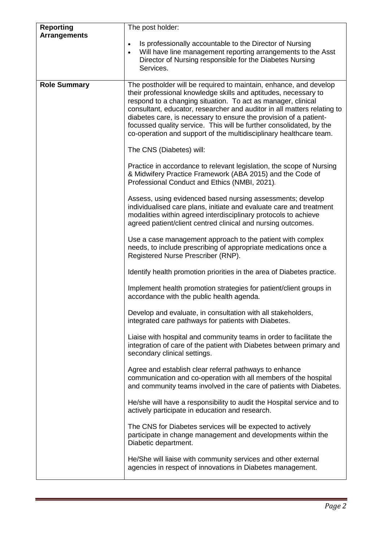| <b>Reporting</b><br><b>Arrangements</b> | The post holder:                                                                                                                                                                                                                                                                                                                                                                                                                                                                                  |
|-----------------------------------------|---------------------------------------------------------------------------------------------------------------------------------------------------------------------------------------------------------------------------------------------------------------------------------------------------------------------------------------------------------------------------------------------------------------------------------------------------------------------------------------------------|
|                                         | Is professionally accountable to the Director of Nursing<br>$\bullet$<br>Will have line management reporting arrangements to the Asst<br>$\bullet$<br>Director of Nursing responsible for the Diabetes Nursing<br>Services.                                                                                                                                                                                                                                                                       |
| <b>Role Summary</b>                     | The postholder will be required to maintain, enhance, and develop<br>their professional knowledge skills and aptitudes, necessary to<br>respond to a changing situation. To act as manager, clinical<br>consultant, educator, researcher and auditor in all matters relating to<br>diabetes care, is necessary to ensure the provision of a patient-<br>focussed quality service. This will be further consolidated, by the<br>co-operation and support of the multidisciplinary healthcare team. |
|                                         | The CNS (Diabetes) will:                                                                                                                                                                                                                                                                                                                                                                                                                                                                          |
|                                         | Practice in accordance to relevant legislation, the scope of Nursing<br>& Midwifery Practice Framework (ABA 2015) and the Code of<br>Professional Conduct and Ethics (NMBI, 2021).                                                                                                                                                                                                                                                                                                                |
|                                         | Assess, using evidenced based nursing assessments; develop<br>individualised care plans, initiate and evaluate care and treatment<br>modalities within agreed interdisciplinary protocols to achieve<br>agreed patient/client centred clinical and nursing outcomes.                                                                                                                                                                                                                              |
|                                         | Use a case management approach to the patient with complex<br>needs, to include prescribing of appropriate medications once a<br>Registered Nurse Prescriber (RNP).                                                                                                                                                                                                                                                                                                                               |
|                                         | Identify health promotion priorities in the area of Diabetes practice.                                                                                                                                                                                                                                                                                                                                                                                                                            |
|                                         | Implement health promotion strategies for patient/client groups in<br>accordance with the public health agenda.                                                                                                                                                                                                                                                                                                                                                                                   |
|                                         | Develop and evaluate, in consultation with all stakeholders,<br>integrated care pathways for patients with Diabetes.                                                                                                                                                                                                                                                                                                                                                                              |
|                                         | Liaise with hospital and community teams in order to facilitate the<br>integration of care of the patient with Diabetes between primary and<br>secondary clinical settings.                                                                                                                                                                                                                                                                                                                       |
|                                         | Agree and establish clear referral pathways to enhance<br>communication and co-operation with all members of the hospital<br>and community teams involved in the care of patients with Diabetes.                                                                                                                                                                                                                                                                                                  |
|                                         | He/she will have a responsibility to audit the Hospital service and to<br>actively participate in education and research.                                                                                                                                                                                                                                                                                                                                                                         |
|                                         | The CNS for Diabetes services will be expected to actively<br>participate in change management and developments within the<br>Diabetic department.                                                                                                                                                                                                                                                                                                                                                |
|                                         | He/She will liaise with community services and other external<br>agencies in respect of innovations in Diabetes management.                                                                                                                                                                                                                                                                                                                                                                       |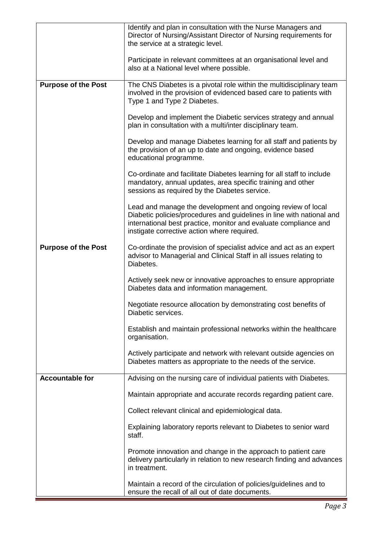|                            | Identify and plan in consultation with the Nurse Managers and<br>Director of Nursing/Assistant Director of Nursing requirements for<br>the service at a strategic level.                                                                                |
|----------------------------|---------------------------------------------------------------------------------------------------------------------------------------------------------------------------------------------------------------------------------------------------------|
|                            | Participate in relevant committees at an organisational level and<br>also at a National level where possible.                                                                                                                                           |
| <b>Purpose of the Post</b> | The CNS Diabetes is a pivotal role within the multidisciplinary team<br>involved in the provision of evidenced based care to patients with<br>Type 1 and Type 2 Diabetes.                                                                               |
|                            | Develop and implement the Diabetic services strategy and annual<br>plan in consultation with a multi/inter disciplinary team.                                                                                                                           |
|                            | Develop and manage Diabetes learning for all staff and patients by<br>the provision of an up to date and ongoing, evidence based<br>educational programme.                                                                                              |
|                            | Co-ordinate and facilitate Diabetes learning for all staff to include<br>mandatory, annual updates, area specific training and other<br>sessions as required by the Diabetes service.                                                                   |
|                            | Lead and manage the development and ongoing review of local<br>Diabetic policies/procedures and guidelines in line with national and<br>international best practice, monitor and evaluate compliance and<br>instigate corrective action where required. |
| <b>Purpose of the Post</b> | Co-ordinate the provision of specialist advice and act as an expert<br>advisor to Managerial and Clinical Staff in all issues relating to<br>Diabetes.                                                                                                  |
|                            | Actively seek new or innovative approaches to ensure appropriate<br>Diabetes data and information management.                                                                                                                                           |
|                            | Negotiate resource allocation by demonstrating cost benefits of<br>Diabetic services.                                                                                                                                                                   |
|                            | Establish and maintain professional networks within the healthcare<br>organisation.                                                                                                                                                                     |
|                            | Actively participate and network with relevant outside agencies on<br>Diabetes matters as appropriate to the needs of the service.                                                                                                                      |
| <b>Accountable for</b>     | Advising on the nursing care of individual patients with Diabetes.                                                                                                                                                                                      |
|                            | Maintain appropriate and accurate records regarding patient care.                                                                                                                                                                                       |
|                            | Collect relevant clinical and epidemiological data.                                                                                                                                                                                                     |
|                            | Explaining laboratory reports relevant to Diabetes to senior ward<br>staff.                                                                                                                                                                             |
|                            | Promote innovation and change in the approach to patient care<br>delivery particularly in relation to new research finding and advances<br>in treatment.                                                                                                |
|                            | Maintain a record of the circulation of policies/guidelines and to<br>ensure the recall of all out of date documents.                                                                                                                                   |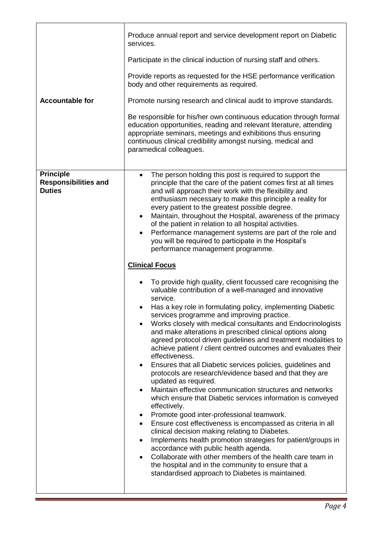|                                                                  | Produce annual report and service development report on Diabetic<br>services.                                                                                                                                                                                                                                                                                                                                                                                                                                                                                                                                                                                                                                                                                                                                                                                                                                                                                                                                                                                                                                                                                                                                                                                                                                                                                                                                                                                                                                                                                                                                                                                                                                                                                                                                                                                                                                                                                      |
|------------------------------------------------------------------|--------------------------------------------------------------------------------------------------------------------------------------------------------------------------------------------------------------------------------------------------------------------------------------------------------------------------------------------------------------------------------------------------------------------------------------------------------------------------------------------------------------------------------------------------------------------------------------------------------------------------------------------------------------------------------------------------------------------------------------------------------------------------------------------------------------------------------------------------------------------------------------------------------------------------------------------------------------------------------------------------------------------------------------------------------------------------------------------------------------------------------------------------------------------------------------------------------------------------------------------------------------------------------------------------------------------------------------------------------------------------------------------------------------------------------------------------------------------------------------------------------------------------------------------------------------------------------------------------------------------------------------------------------------------------------------------------------------------------------------------------------------------------------------------------------------------------------------------------------------------------------------------------------------------------------------------------------------------|
|                                                                  | Participate in the clinical induction of nursing staff and others.                                                                                                                                                                                                                                                                                                                                                                                                                                                                                                                                                                                                                                                                                                                                                                                                                                                                                                                                                                                                                                                                                                                                                                                                                                                                                                                                                                                                                                                                                                                                                                                                                                                                                                                                                                                                                                                                                                 |
|                                                                  | Provide reports as requested for the HSE performance verification<br>body and other requirements as required.                                                                                                                                                                                                                                                                                                                                                                                                                                                                                                                                                                                                                                                                                                                                                                                                                                                                                                                                                                                                                                                                                                                                                                                                                                                                                                                                                                                                                                                                                                                                                                                                                                                                                                                                                                                                                                                      |
| <b>Accountable for</b>                                           | Promote nursing research and clinical audit to improve standards.                                                                                                                                                                                                                                                                                                                                                                                                                                                                                                                                                                                                                                                                                                                                                                                                                                                                                                                                                                                                                                                                                                                                                                                                                                                                                                                                                                                                                                                                                                                                                                                                                                                                                                                                                                                                                                                                                                  |
|                                                                  | Be responsible for his/her own continuous education through formal<br>education opportunities, reading and relevant literature, attending<br>appropriate seminars, meetings and exhibitions thus ensuring<br>continuous clinical credibility amongst nursing, medical and<br>paramedical colleagues.                                                                                                                                                                                                                                                                                                                                                                                                                                                                                                                                                                                                                                                                                                                                                                                                                                                                                                                                                                                                                                                                                                                                                                                                                                                                                                                                                                                                                                                                                                                                                                                                                                                               |
| <b>Principle</b><br><b>Responsibilities and</b><br><b>Duties</b> | The person holding this post is required to support the<br>$\bullet$<br>principle that the care of the patient comes first at all times<br>and will approach their work with the flexibility and<br>enthusiasm necessary to make this principle a reality for<br>every patient to the greatest possible degree.<br>Maintain, throughout the Hospital, awareness of the primacy<br>$\bullet$<br>of the patient in relation to all hospital activities.<br>Performance management systems are part of the role and<br>$\bullet$<br>you will be required to participate in the Hospital's<br>performance management programme.<br><b>Clinical Focus</b><br>To provide high quality, client focussed care recognising the<br>valuable contribution of a well-managed and innovative<br>service.<br>Has a key role in formulating policy, implementing Diabetic<br>services programme and improving practice.<br>Works closely with medical consultants and Endocrinologists<br>and make alterations in prescribed clinical options along<br>agreed protocol driven guidelines and treatment modalities to<br>achieve patient / client centred outcomes and evaluates their<br>effectiveness.<br>Ensures that all Diabetic services policies, guidelines and<br>protocols are research/evidence based and that they are<br>updated as required.<br>Maintain effective communication structures and networks<br>which ensure that Diabetic services information is conveyed<br>effectively.<br>Promote good inter-professional teamwork.<br>$\bullet$<br>Ensure cost effectiveness is encompassed as criteria in all<br>٠<br>clinical decision making relating to Diabetes.<br>Implements health promotion strategies for patient/groups in<br>$\bullet$<br>accordance with public health agenda.<br>Collaborate with other members of the health care team in<br>the hospital and in the community to ensure that a<br>standardised approach to Diabetes is maintained. |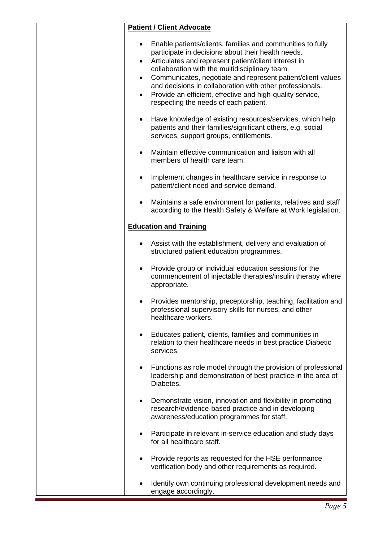| <b>Patient / Client Advocate</b>                                                                                                                                                                                                                                                                                                                                                                                                                                                                        |
|---------------------------------------------------------------------------------------------------------------------------------------------------------------------------------------------------------------------------------------------------------------------------------------------------------------------------------------------------------------------------------------------------------------------------------------------------------------------------------------------------------|
| Enable patients/clients, families and communities to fully<br>$\bullet$<br>participate in decisions about their health needs.<br>Articulates and represent patient/client interest in<br>٠<br>collaboration with the multidisciplinary team.<br>Communicates, negotiate and represent patient/client values<br>$\bullet$<br>and decisions in collaboration with other professionals.<br>Provide an efficient, effective and high-quality service,<br>$\bullet$<br>respecting the needs of each patient. |
| Have knowledge of existing resources/services, which help<br>$\bullet$<br>patients and their families/significant others, e.g. social<br>services, support groups, entitlements.                                                                                                                                                                                                                                                                                                                        |
| Maintain effective communication and liaison with all<br>members of health care team.                                                                                                                                                                                                                                                                                                                                                                                                                   |
| Implement changes in healthcare service in response to<br>patient/client need and service demand.                                                                                                                                                                                                                                                                                                                                                                                                       |
| Maintains a safe environment for patients, relatives and staff<br>$\bullet$<br>according to the Health Safety & Welfare at Work legislation.                                                                                                                                                                                                                                                                                                                                                            |
| <b>Education and Training</b>                                                                                                                                                                                                                                                                                                                                                                                                                                                                           |
| Assist with the establishment, delivery and evaluation of<br>structured patient education programmes.                                                                                                                                                                                                                                                                                                                                                                                                   |
| Provide group or individual education sessions for the<br>commencement of injectable therapies/insulin therapy where<br>appropriate.                                                                                                                                                                                                                                                                                                                                                                    |
| Provides mentorship, preceptorship, teaching, facilitation and<br>professional supervisory skills for nurses, and other<br>healthcare workers.                                                                                                                                                                                                                                                                                                                                                          |
| Educates patient, clients, families and communities in<br>relation to their healthcare needs in best practice Diabetic<br>services.                                                                                                                                                                                                                                                                                                                                                                     |
| Functions as role model through the provision of professional<br>$\bullet$<br>leadership and demonstration of best practice in the area of<br>Diabetes.                                                                                                                                                                                                                                                                                                                                                 |
| Demonstrate vision, innovation and flexibility in promoting<br>$\bullet$<br>research/evidence-based practice and in developing<br>awareness/education programmes for staff.                                                                                                                                                                                                                                                                                                                             |
| Participate in relevant in-service education and study days<br>$\bullet$<br>for all healthcare staff.                                                                                                                                                                                                                                                                                                                                                                                                   |
| Provide reports as requested for the HSE performance<br>verification body and other requirements as required.                                                                                                                                                                                                                                                                                                                                                                                           |
| Identify own continuing professional development needs and<br>engage accordingly.                                                                                                                                                                                                                                                                                                                                                                                                                       |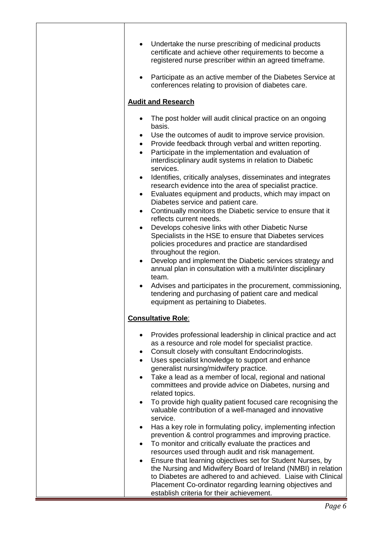| Undertake the nurse prescribing of medicinal products<br>certificate and achieve other requirements to become a<br>registered nurse prescriber within an agreed timeframe.<br>Participate as an active member of the Diabetes Service at<br>$\bullet$                                                                                                                                                                                                                                                                                                                                                                                                                                                                                                                                                                                                                                                                                                                                                                                                                                   |
|-----------------------------------------------------------------------------------------------------------------------------------------------------------------------------------------------------------------------------------------------------------------------------------------------------------------------------------------------------------------------------------------------------------------------------------------------------------------------------------------------------------------------------------------------------------------------------------------------------------------------------------------------------------------------------------------------------------------------------------------------------------------------------------------------------------------------------------------------------------------------------------------------------------------------------------------------------------------------------------------------------------------------------------------------------------------------------------------|
| conferences relating to provision of diabetes care.                                                                                                                                                                                                                                                                                                                                                                                                                                                                                                                                                                                                                                                                                                                                                                                                                                                                                                                                                                                                                                     |
| <b>Audit and Research</b>                                                                                                                                                                                                                                                                                                                                                                                                                                                                                                                                                                                                                                                                                                                                                                                                                                                                                                                                                                                                                                                               |
| The post holder will audit clinical practice on an ongoing<br>basis.<br>Use the outcomes of audit to improve service provision.<br>٠<br>Provide feedback through verbal and written reporting.<br>$\bullet$<br>Participate in the implementation and evaluation of<br>$\bullet$<br>interdisciplinary audit systems in relation to Diabetic<br>services.<br>Identifies, critically analyses, disseminates and integrates<br>$\bullet$<br>research evidence into the area of specialist practice.<br>Evaluates equipment and products, which may impact on<br>$\bullet$<br>Diabetes service and patient care.                                                                                                                                                                                                                                                                                                                                                                                                                                                                             |
| Continually monitors the Diabetic service to ensure that it<br>$\bullet$<br>reflects current needs.<br>Develops cohesive links with other Diabetic Nurse<br>$\bullet$<br>Specialists in the HSE to ensure that Diabetes services<br>policies procedures and practice are standardised                                                                                                                                                                                                                                                                                                                                                                                                                                                                                                                                                                                                                                                                                                                                                                                                   |
| throughout the region.<br>Develop and implement the Diabetic services strategy and<br>$\bullet$<br>annual plan in consultation with a multi/inter disciplinary<br>team.<br>Advises and participates in the procurement, commissioning,<br>٠<br>tendering and purchasing of patient care and medical<br>equipment as pertaining to Diabetes.                                                                                                                                                                                                                                                                                                                                                                                                                                                                                                                                                                                                                                                                                                                                             |
| <b>Consultative Role:</b>                                                                                                                                                                                                                                                                                                                                                                                                                                                                                                                                                                                                                                                                                                                                                                                                                                                                                                                                                                                                                                                               |
| Provides professional leadership in clinical practice and act<br>$\bullet$<br>as a resource and role model for specialist practice.<br>Consult closely with consultant Endocrinologists.<br>٠<br>Uses specialist knowledge to support and enhance<br>$\bullet$<br>generalist nursing/midwifery practice.<br>Take a lead as a member of local, regional and national<br>$\bullet$<br>committees and provide advice on Diabetes, nursing and<br>related topics.<br>To provide high quality patient focused care recognising the<br>$\bullet$<br>valuable contribution of a well-managed and innovative<br>service.<br>Has a key role in formulating policy, implementing infection<br>٠<br>prevention & control programmes and improving practice.<br>To monitor and critically evaluate the practices and<br>$\bullet$<br>resources used through audit and risk management.<br>Ensure that learning objectives set for Student Nurses, by<br>$\bullet$<br>the Nursing and Midwifery Board of Ireland (NMBI) in relation<br>to Diabetes are adhered to and achieved. Liaise with Clinical |
| Placement Co-ordinator regarding learning objectives and<br>establish criteria for their achievement.                                                                                                                                                                                                                                                                                                                                                                                                                                                                                                                                                                                                                                                                                                                                                                                                                                                                                                                                                                                   |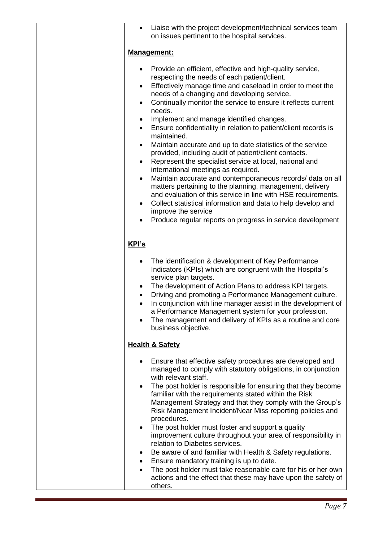| Liaise with the project development/technical services team<br>on issues pertinent to the hospital services.                                                                                                                                                                                                                                                                                                                                                                                                                                                                                                                                                                                                                                                                                                                                                                                                                                                                                                                                                                  |
|-------------------------------------------------------------------------------------------------------------------------------------------------------------------------------------------------------------------------------------------------------------------------------------------------------------------------------------------------------------------------------------------------------------------------------------------------------------------------------------------------------------------------------------------------------------------------------------------------------------------------------------------------------------------------------------------------------------------------------------------------------------------------------------------------------------------------------------------------------------------------------------------------------------------------------------------------------------------------------------------------------------------------------------------------------------------------------|
| <b>Management:</b>                                                                                                                                                                                                                                                                                                                                                                                                                                                                                                                                                                                                                                                                                                                                                                                                                                                                                                                                                                                                                                                            |
| Provide an efficient, effective and high-quality service,<br>$\bullet$<br>respecting the needs of each patient/client.<br>Effectively manage time and caseload in order to meet the<br>needs of a changing and developing service.<br>Continually monitor the service to ensure it reflects current<br>$\bullet$<br>needs.<br>Implement and manage identified changes.<br>Ensure confidentiality in relation to patient/client records is<br>$\bullet$<br>maintained.<br>Maintain accurate and up to date statistics of the service<br>٠<br>provided, including audit of patient/client contacts.<br>Represent the specialist service at local, national and<br>$\bullet$<br>international meetings as required.<br>Maintain accurate and contemporaneous records/ data on all<br>matters pertaining to the planning, management, delivery<br>and evaluation of this service in line with HSE requirements.<br>Collect statistical information and data to help develop and<br>$\bullet$<br>improve the service<br>Produce regular reports on progress in service development |
| KPI's                                                                                                                                                                                                                                                                                                                                                                                                                                                                                                                                                                                                                                                                                                                                                                                                                                                                                                                                                                                                                                                                         |
| The identification & development of Key Performance<br>$\bullet$<br>Indicators (KPIs) which are congruent with the Hospital's<br>service plan targets.<br>The development of Action Plans to address KPI targets.<br>$\bullet$<br>Driving and promoting a Performance Management culture.<br>$\bullet$<br>In conjunction with line manager assist in the development of<br>$\bullet$<br>a Performance Management system for your profession.<br>The management and delivery of KPIs as a routine and core<br>business objective.                                                                                                                                                                                                                                                                                                                                                                                                                                                                                                                                              |
| <b>Health &amp; Safety</b>                                                                                                                                                                                                                                                                                                                                                                                                                                                                                                                                                                                                                                                                                                                                                                                                                                                                                                                                                                                                                                                    |
| Ensure that effective safety procedures are developed and<br>$\bullet$<br>managed to comply with statutory obligations, in conjunction<br>with relevant staff.<br>The post holder is responsible for ensuring that they become<br>familiar with the requirements stated within the Risk<br>Management Strategy and that they comply with the Group's<br>Risk Management Incident/Near Miss reporting policies and<br>procedures.<br>The post holder must foster and support a quality<br>$\bullet$<br>improvement culture throughout your area of responsibility in<br>relation to Diabetes services.<br>Be aware of and familiar with Health & Safety regulations.<br>Ensure mandatory training is up to date.<br>٠<br>The post holder must take reasonable care for his or her own<br>$\bullet$<br>actions and the effect that these may have upon the safety of<br>others.                                                                                                                                                                                                 |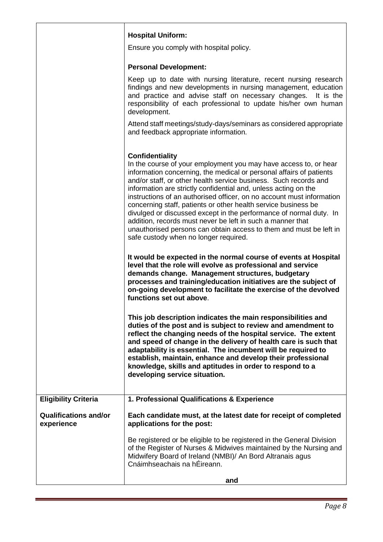|                                            | <b>Hospital Uniform:</b>                                                                                                                                                                                                                                                                                                                                                                                                                                                                                                                                                                                                                                                                               |
|--------------------------------------------|--------------------------------------------------------------------------------------------------------------------------------------------------------------------------------------------------------------------------------------------------------------------------------------------------------------------------------------------------------------------------------------------------------------------------------------------------------------------------------------------------------------------------------------------------------------------------------------------------------------------------------------------------------------------------------------------------------|
|                                            | Ensure you comply with hospital policy.                                                                                                                                                                                                                                                                                                                                                                                                                                                                                                                                                                                                                                                                |
|                                            |                                                                                                                                                                                                                                                                                                                                                                                                                                                                                                                                                                                                                                                                                                        |
|                                            | <b>Personal Development:</b>                                                                                                                                                                                                                                                                                                                                                                                                                                                                                                                                                                                                                                                                           |
|                                            | Keep up to date with nursing literature, recent nursing research<br>findings and new developments in nursing management, education<br>and practice and advise staff on necessary changes. It is the<br>responsibility of each professional to update his/her own human<br>development.                                                                                                                                                                                                                                                                                                                                                                                                                 |
|                                            | Attend staff meetings/study-days/seminars as considered appropriate<br>and feedback appropriate information.                                                                                                                                                                                                                                                                                                                                                                                                                                                                                                                                                                                           |
|                                            | <b>Confidentiality</b><br>In the course of your employment you may have access to, or hear<br>information concerning, the medical or personal affairs of patients<br>and/or staff, or other health service business. Such records and<br>information are strictly confidential and, unless acting on the<br>instructions of an authorised officer, on no account must information<br>concerning staff, patients or other health service business be<br>divulged or discussed except in the performance of normal duty. In<br>addition, records must never be left in such a manner that<br>unauthorised persons can obtain access to them and must be left in<br>safe custody when no longer required. |
|                                            | It would be expected in the normal course of events at Hospital<br>level that the role will evolve as professional and service<br>demands change. Management structures, budgetary<br>processes and training/education initiatives are the subject of<br>on-going development to facilitate the exercise of the devolved<br>functions set out above.                                                                                                                                                                                                                                                                                                                                                   |
|                                            | This job description indicates the main responsibilities and<br>duties of the post and is subject to review and amendment to<br>reflect the changing needs of the hospital service. The extent<br>and speed of change in the delivery of health care is such that<br>adaptability is essential. The incumbent will be required to<br>establish, maintain, enhance and develop their professional<br>knowledge, skills and aptitudes in order to respond to a<br>developing service situation.                                                                                                                                                                                                          |
| <b>Eligibility Criteria</b>                | 1. Professional Qualifications & Experience                                                                                                                                                                                                                                                                                                                                                                                                                                                                                                                                                                                                                                                            |
| <b>Qualifications and/or</b><br>experience | Each candidate must, at the latest date for receipt of completed<br>applications for the post:                                                                                                                                                                                                                                                                                                                                                                                                                                                                                                                                                                                                         |
|                                            | Be registered or be eligible to be registered in the General Division<br>of the Register of Nurses & Midwives maintained by the Nursing and<br>Midwifery Board of Ireland (NMBI)/ An Bord Altranais agus<br>Cnáimhseachais na hÉireann.                                                                                                                                                                                                                                                                                                                                                                                                                                                                |
|                                            | and                                                                                                                                                                                                                                                                                                                                                                                                                                                                                                                                                                                                                                                                                                    |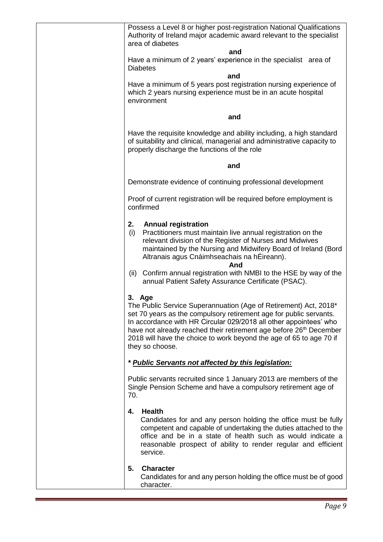| Possess a Level 8 or higher post-registration National Qualifications<br>Authority of Ireland major academic award relevant to the specialist<br>area of diabetes                                                                                                                                                                                                                                 |
|---------------------------------------------------------------------------------------------------------------------------------------------------------------------------------------------------------------------------------------------------------------------------------------------------------------------------------------------------------------------------------------------------|
| and                                                                                                                                                                                                                                                                                                                                                                                               |
| Have a minimum of 2 years' experience in the specialist area of<br><b>Diabetes</b>                                                                                                                                                                                                                                                                                                                |
| and                                                                                                                                                                                                                                                                                                                                                                                               |
| Have a minimum of 5 years post registration nursing experience of<br>which 2 years nursing experience must be in an acute hospital<br>environment                                                                                                                                                                                                                                                 |
| and                                                                                                                                                                                                                                                                                                                                                                                               |
| Have the requisite knowledge and ability including, a high standard<br>of suitability and clinical, managerial and administrative capacity to<br>properly discharge the functions of the role                                                                                                                                                                                                     |
| and                                                                                                                                                                                                                                                                                                                                                                                               |
| Demonstrate evidence of continuing professional development                                                                                                                                                                                                                                                                                                                                       |
| Proof of current registration will be required before employment is<br>confirmed                                                                                                                                                                                                                                                                                                                  |
| 2.<br><b>Annual registration</b><br>Practitioners must maintain live annual registration on the<br>(i)<br>relevant division of the Register of Nurses and Midwives<br>maintained by the Nursing and Midwifery Board of Ireland (Bord<br>Altranais agus Cnáimhseachais na hÉireann).<br>And                                                                                                        |
| Confirm annual registration with NMBI to the HSE by way of the<br>(ii)<br>annual Patient Safety Assurance Certificate (PSAC).                                                                                                                                                                                                                                                                     |
| 3. Age<br>The Public Service Superannuation (Age of Retirement) Act, 2018*<br>set 70 years as the compulsory retirement age for public servants.<br>In accordance with HR Circular 029/2018 all other appointees' who<br>have not already reached their retirement age before 26 <sup>th</sup> December<br>2018 will have the choice to work beyond the age of 65 to age 70 if<br>they so choose. |
| * Public Servants not affected by this legislation:                                                                                                                                                                                                                                                                                                                                               |
| Public servants recruited since 1 January 2013 are members of the<br>Single Pension Scheme and have a compulsory retirement age of<br>70.                                                                                                                                                                                                                                                         |
| <b>Health</b><br>4.<br>Candidates for and any person holding the office must be fully<br>competent and capable of undertaking the duties attached to the<br>office and be in a state of health such as would indicate a<br>reasonable prospect of ability to render regular and efficient<br>service.                                                                                             |
| 5.<br><b>Character</b><br>Candidates for and any person holding the office must be of good<br>character.                                                                                                                                                                                                                                                                                          |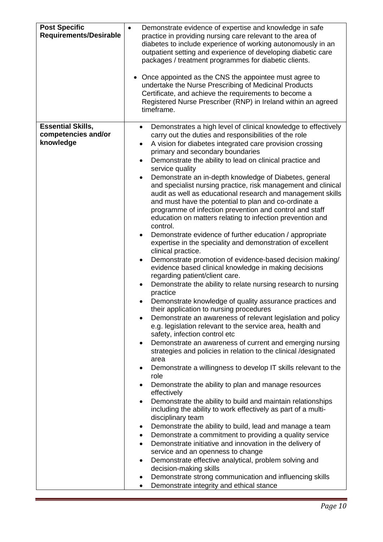| <b>Post Specific</b><br><b>Requirements/Desirable</b>        | Demonstrate evidence of expertise and knowledge in safe<br>$\bullet$<br>practice in providing nursing care relevant to the area of<br>diabetes to include experience of working autonomously in an<br>outpatient setting and experience of developing diabetic care<br>packages / treatment programmes for diabetic clients.<br>Once appointed as the CNS the appointee must agree to<br>undertake the Nurse Prescribing of Medicinal Products<br>Certificate, and achieve the requirements to become a<br>Registered Nurse Prescriber (RNP) in Ireland within an agreed<br>timeframe.                                                                                                                                                                                                                                                                                                                                                                                                                                                                                                                                                                                                                                                                                                                                                                                                                                                                                                                                                                                                                                                                                                                                                                                                                                                                                                                                                                                                                                                                                                                                                                                                                                                                                                                                                            |
|--------------------------------------------------------------|---------------------------------------------------------------------------------------------------------------------------------------------------------------------------------------------------------------------------------------------------------------------------------------------------------------------------------------------------------------------------------------------------------------------------------------------------------------------------------------------------------------------------------------------------------------------------------------------------------------------------------------------------------------------------------------------------------------------------------------------------------------------------------------------------------------------------------------------------------------------------------------------------------------------------------------------------------------------------------------------------------------------------------------------------------------------------------------------------------------------------------------------------------------------------------------------------------------------------------------------------------------------------------------------------------------------------------------------------------------------------------------------------------------------------------------------------------------------------------------------------------------------------------------------------------------------------------------------------------------------------------------------------------------------------------------------------------------------------------------------------------------------------------------------------------------------------------------------------------------------------------------------------------------------------------------------------------------------------------------------------------------------------------------------------------------------------------------------------------------------------------------------------------------------------------------------------------------------------------------------------------------------------------------------------------------------------------------------------|
| <b>Essential Skills,</b><br>competencies and/or<br>knowledge | Demonstrates a high level of clinical knowledge to effectively<br>$\bullet$<br>carry out the duties and responsibilities of the role<br>A vision for diabetes integrated care provision crossing<br>$\bullet$<br>primary and secondary boundaries<br>Demonstrate the ability to lead on clinical practice and<br>$\bullet$<br>service quality<br>Demonstrate an in-depth knowledge of Diabetes, general<br>and specialist nursing practice, risk management and clinical<br>audit as well as educational research and management skills<br>and must have the potential to plan and co-ordinate a<br>programme of infection prevention and control and staff<br>education on matters relating to infection prevention and<br>control.<br>Demonstrate evidence of further education / appropriate<br>$\bullet$<br>expertise in the speciality and demonstration of excellent<br>clinical practice.<br>Demonstrate promotion of evidence-based decision making/<br>$\bullet$<br>evidence based clinical knowledge in making decisions<br>regarding patient/client care.<br>Demonstrate the ability to relate nursing research to nursing<br>practice<br>Demonstrate knowledge of quality assurance practices and<br>their application to nursing procedures<br>Demonstrate an awareness of relevant legislation and policy<br>e.g. legislation relevant to the service area, health and<br>safety, infection control etc<br>Demonstrate an awareness of current and emerging nursing<br>٠<br>strategies and policies in relation to the clinical /designated<br>area<br>Demonstrate a willingness to develop IT skills relevant to the<br>٠<br>role<br>Demonstrate the ability to plan and manage resources<br>٠<br>effectively<br>Demonstrate the ability to build and maintain relationships<br>٠<br>including the ability to work effectively as part of a multi-<br>disciplinary team<br>Demonstrate the ability to build, lead and manage a team<br>٠<br>Demonstrate a commitment to providing a quality service<br>٠<br>Demonstrate initiative and innovation in the delivery of<br>$\bullet$<br>service and an openness to change<br>Demonstrate effective analytical, problem solving and<br>$\bullet$<br>decision-making skills<br>Demonstrate strong communication and influencing skills<br>٠<br>Demonstrate integrity and ethical stance |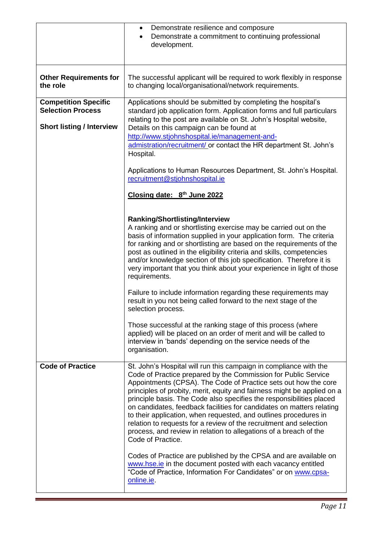|                                                         | Demonstrate resilience and composure<br>٠<br>Demonstrate a commitment to continuing professional<br>$\bullet$<br>development.                                                                                                                                                                                                                                                                                                                                                                                                                                                                                                                                          |
|---------------------------------------------------------|------------------------------------------------------------------------------------------------------------------------------------------------------------------------------------------------------------------------------------------------------------------------------------------------------------------------------------------------------------------------------------------------------------------------------------------------------------------------------------------------------------------------------------------------------------------------------------------------------------------------------------------------------------------------|
| <b>Other Requirements for</b><br>the role               | The successful applicant will be required to work flexibly in response<br>to changing local/organisational/network requirements.                                                                                                                                                                                                                                                                                                                                                                                                                                                                                                                                       |
| <b>Competition Specific</b><br><b>Selection Process</b> | Applications should be submitted by completing the hospital's<br>standard job application form. Application forms and full particulars<br>relating to the post are available on St. John's Hospital website,                                                                                                                                                                                                                                                                                                                                                                                                                                                           |
| <b>Short listing / Interview</b>                        | Details on this campaign can be found at<br>http://www.stjohnshospital.ie/management-and-<br>admistration/recruitment/ or contact the HR department St. John's<br>Hospital.                                                                                                                                                                                                                                                                                                                                                                                                                                                                                            |
|                                                         | Applications to Human Resources Department, St. John's Hospital.<br>recruitment@stjohnshospital.ie                                                                                                                                                                                                                                                                                                                                                                                                                                                                                                                                                                     |
|                                                         | Closing date: 8 <sup>th</sup> June 2022                                                                                                                                                                                                                                                                                                                                                                                                                                                                                                                                                                                                                                |
|                                                         | <b>Ranking/Shortlisting/Interview</b><br>A ranking and or shortlisting exercise may be carried out on the<br>basis of information supplied in your application form. The criteria<br>for ranking and or shortlisting are based on the requirements of the<br>post as outlined in the eligibility criteria and skills, competencies<br>and/or knowledge section of this job specification. Therefore it is<br>very important that you think about your experience in light of those<br>requirements.                                                                                                                                                                    |
|                                                         | Failure to include information regarding these requirements may<br>result in you not being called forward to the next stage of the<br>selection process.                                                                                                                                                                                                                                                                                                                                                                                                                                                                                                               |
|                                                         | Those successful at the ranking stage of this process (where<br>applied) will be placed on an order of merit and will be called to<br>interview in 'bands' depending on the service needs of the<br>organisation.                                                                                                                                                                                                                                                                                                                                                                                                                                                      |
| <b>Code of Practice</b>                                 | St. John's Hospital will run this campaign in compliance with the<br>Code of Practice prepared by the Commission for Public Service<br>Appointments (CPSA). The Code of Practice sets out how the core<br>principles of probity, merit, equity and fairness might be applied on a<br>principle basis. The Code also specifies the responsibilities placed<br>on candidates, feedback facilities for candidates on matters relating<br>to their application, when requested, and outlines procedures in<br>relation to requests for a review of the recruitment and selection<br>process, and review in relation to allegations of a breach of the<br>Code of Practice. |
|                                                         | Codes of Practice are published by the CPSA and are available on<br>www.hse.ie in the document posted with each vacancy entitled<br>"Code of Practice, Information For Candidates" or on www.cpsa-<br>online.ie.                                                                                                                                                                                                                                                                                                                                                                                                                                                       |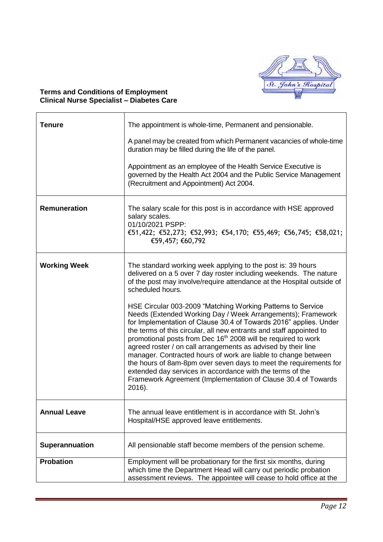

## **Terms and Conditions of Employment Clinical Nurse Specialist – Diabetes Care**

| Tenure              | The appointment is whole-time, Permanent and pensionable.                                                                                                                                                                                                                                                                                                                                                                                                                                                                                                                                                                                                                                           |
|---------------------|-----------------------------------------------------------------------------------------------------------------------------------------------------------------------------------------------------------------------------------------------------------------------------------------------------------------------------------------------------------------------------------------------------------------------------------------------------------------------------------------------------------------------------------------------------------------------------------------------------------------------------------------------------------------------------------------------------|
|                     | A panel may be created from which Permanent vacancies of whole-time<br>duration may be filled during the life of the panel.                                                                                                                                                                                                                                                                                                                                                                                                                                                                                                                                                                         |
|                     | Appointment as an employee of the Health Service Executive is<br>governed by the Health Act 2004 and the Public Service Management<br>(Recruitment and Appointment) Act 2004.                                                                                                                                                                                                                                                                                                                                                                                                                                                                                                                       |
| <b>Remuneration</b> | The salary scale for this post is in accordance with HSE approved<br>salary scales.<br>01/10/2021 PSPP:<br>€51,422; €52,273; €52,993; €54,170; €55,469; €56,745; €58,021;<br>€59,457; €60,792                                                                                                                                                                                                                                                                                                                                                                                                                                                                                                       |
| <b>Working Week</b> | The standard working week applying to the post is: 39 hours<br>delivered on a 5 over 7 day roster including weekends. The nature<br>of the post may involve/require attendance at the Hospital outside of<br>scheduled hours.                                                                                                                                                                                                                                                                                                                                                                                                                                                                       |
|                     | HSE Circular 003-2009 "Matching Working Patterns to Service<br>Needs (Extended Working Day / Week Arrangements); Framework<br>for Implementation of Clause 30.4 of Towards 2016" applies. Under<br>the terms of this circular, all new entrants and staff appointed to<br>promotional posts from Dec 16 <sup>th</sup> 2008 will be required to work<br>agreed roster / on call arrangements as advised by their line<br>manager. Contracted hours of work are liable to change between<br>the hours of 8am-8pm over seven days to meet the requirements for<br>extended day services in accordance with the terms of the<br>Framework Agreement (Implementation of Clause 30.4 of Towards<br>2016). |
| <b>Annual Leave</b> | The annual leave entitlement is in accordance with St. John's<br>Hospital/HSE approved leave entitlements.                                                                                                                                                                                                                                                                                                                                                                                                                                                                                                                                                                                          |
| Superannuation      | All pensionable staff become members of the pension scheme.                                                                                                                                                                                                                                                                                                                                                                                                                                                                                                                                                                                                                                         |
| <b>Probation</b>    | Employment will be probationary for the first six months, during<br>which time the Department Head will carry out periodic probation<br>assessment reviews. The appointee will cease to hold office at the                                                                                                                                                                                                                                                                                                                                                                                                                                                                                          |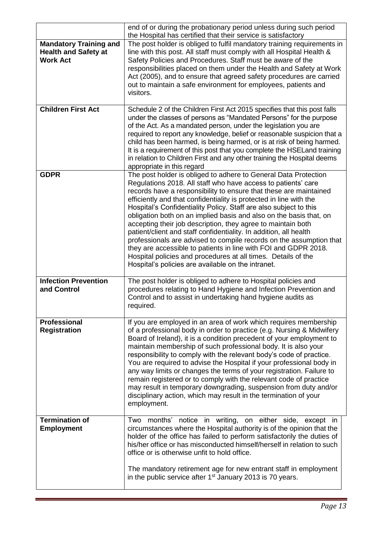|                                                                                 | end of or during the probationary period unless during such period<br>the Hospital has certified that their service is satisfactory                                                                                                                                                                                                                                                                                                                                                                                                                                                                                                                                                                                                                                                                                          |
|---------------------------------------------------------------------------------|------------------------------------------------------------------------------------------------------------------------------------------------------------------------------------------------------------------------------------------------------------------------------------------------------------------------------------------------------------------------------------------------------------------------------------------------------------------------------------------------------------------------------------------------------------------------------------------------------------------------------------------------------------------------------------------------------------------------------------------------------------------------------------------------------------------------------|
| <b>Mandatory Training and</b><br><b>Health and Safety at</b><br><b>Work Act</b> | The post holder is obliged to fulfil mandatory training requirements in<br>line with this post. All staff must comply with all Hospital Health &<br>Safety Policies and Procedures. Staff must be aware of the<br>responsibilities placed on them under the Health and Safety at Work<br>Act (2005), and to ensure that agreed safety procedures are carried<br>out to maintain a safe environment for employees, patients and<br>visitors.                                                                                                                                                                                                                                                                                                                                                                                  |
| <b>Children First Act</b>                                                       | Schedule 2 of the Children First Act 2015 specifies that this post falls<br>under the classes of persons as "Mandated Persons" for the purpose<br>of the Act. As a mandated person, under the legislation you are<br>required to report any knowledge, belief or reasonable suspicion that a<br>child has been harmed, is being harmed, or is at risk of being harmed.<br>It is a requirement of this post that you complete the HSELand training<br>in relation to Children First and any other training the Hospital deems<br>appropriate in this regard                                                                                                                                                                                                                                                                   |
| <b>GDPR</b>                                                                     | The post holder is obliged to adhere to General Data Protection<br>Regulations 2018. All staff who have access to patients' care<br>records have a responsibility to ensure that these are maintained<br>efficiently and that confidentiality is protected in line with the<br>Hospital's Confidentiality Policy. Staff are also subject to this<br>obligation both on an implied basis and also on the basis that, on<br>accepting their job description, they agree to maintain both<br>patient/client and staff confidentiality. In addition, all health<br>professionals are advised to compile records on the assumption that<br>they are accessible to patients in line with FOI and GDPR 2018.<br>Hospital policies and procedures at all times. Details of the<br>Hospital's policies are available on the intranet. |
| <b>Infection Prevention</b><br>and Control                                      | The post holder is obliged to adhere to Hospital policies and<br>procedures relating to Hand Hygiene and Infection Prevention and<br>Control and to assist in undertaking hand hygiene audits as<br>required.                                                                                                                                                                                                                                                                                                                                                                                                                                                                                                                                                                                                                |
| <b>Professional</b><br><b>Registration</b>                                      | If you are employed in an area of work which requires membership<br>of a professional body in order to practice (e.g. Nursing & Midwifery<br>Board of Ireland), it is a condition precedent of your employment to<br>maintain membership of such professional body. It is also your<br>responsibility to comply with the relevant body's code of practice.<br>You are required to advise the Hospital if your professional body in<br>any way limits or changes the terms of your registration. Failure to<br>remain registered or to comply with the relevant code of practice<br>may result in temporary downgrading, suspension from duty and/or<br>disciplinary action, which may result in the termination of your<br>employment.                                                                                       |
| <b>Termination of</b><br><b>Employment</b>                                      | Two months' notice in writing, on either side, except in<br>circumstances where the Hospital authority is of the opinion that the<br>holder of the office has failed to perform satisfactorily the duties of<br>his/her office or has misconducted himself/herself in relation to such<br>office or is otherwise unfit to hold office.<br>The mandatory retirement age for new entrant staff in employment<br>in the public service after $1st$ January 2013 is 70 years.                                                                                                                                                                                                                                                                                                                                                    |